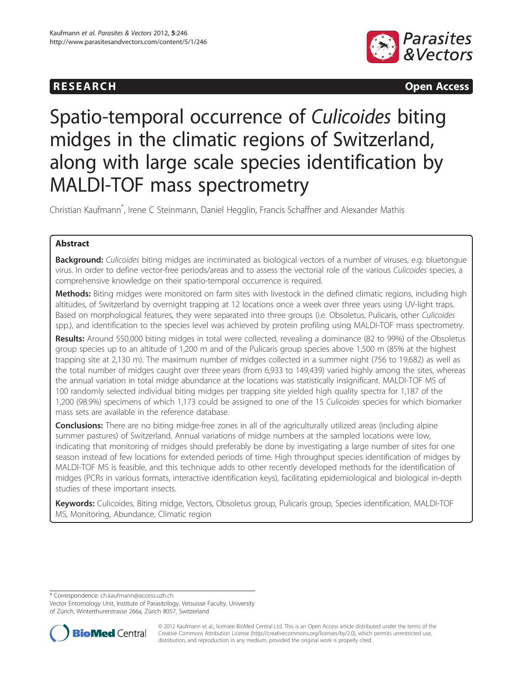## **RESEARCH RESEARCH CONSUMING ACCESS**



# Spatio-temporal occurrence of Culicoides biting midges in the climatic regions of Switzerland, along with large scale species identification by MALDI-TOF mass spectrometry

Christian Kaufmann\* , Irene C Steinmann, Daniel Hegglin, Francis Schaffner and Alexander Mathis

## Abstract

**Background:** Culicoides biting midges are incriminated as biological vectors of a number of viruses, e.g. bluetongue virus. In order to define vector-free periods/areas and to assess the vectorial role of the various Culicoides species, a comprehensive knowledge on their spatio-temporal occurrence is required.

Methods: Biting midges were monitored on farm sites with livestock in the defined climatic regions, including high altitudes, of Switzerland by overnight trapping at 12 locations once a week over three years using UV-light traps. Based on morphological features, they were separated into three groups (i.e. Obsoletus, Pulicaris, other Culicoides spp.), and identification to the species level was achieved by protein profiling using MALDI-TOF mass spectrometry.

Results: Around 550,000 biting midges in total were collected, revealing a dominance (82 to 99%) of the Obsoletus group species up to an altitude of 1,200 m and of the Pulicaris group species above 1,500 m (85% at the highest trapping site at 2,130 m). The maximum number of midges collected in a summer night (756 to 19,682) as well as the total number of midges caught over three years (from 6,933 to 149,439) varied highly among the sites, whereas the annual variation in total midge abundance at the locations was statistically insignificant. MALDI-TOF MS of 100 randomly selected individual biting midges per trapping site yielded high quality spectra for 1,187 of the 1,200 (98.9%) specimens of which 1,173 could be assigned to one of the 15 Culicoides species for which biomarker mass sets are available in the reference database.

**Conclusions:** There are no biting midge-free zones in all of the agriculturally utilized areas (including alpine summer pastures) of Switzerland. Annual variations of midge numbers at the sampled locations were low, indicating that monitoring of midges should preferably be done by investigating a large number of sites for one season instead of few locations for extended periods of time. High throughput species identification of midges by MALDI-TOF MS is feasible, and this technique adds to other recently developed methods for the identification of midges (PCRs in various formats, interactive identification keys), facilitating epidemiological and biological in-depth studies of these important insects.

Keywords: Culicoides, Biting midge, Vectors, Obsoletus group, Pulicaris group, Species identification, MALDI-TOF MS, Monitoring, Abundance, Climatic region

\* Correspondence: [ch.kaufmann@access.uzh.ch](mailto:ch.kaufmann@access.uzh.ch)

Vector Entomology Unit, Institute of Parasitology, Vetsuisse Faculty, University of Zürich, Winterthurerstrasse 266a, Zürich 8057, Switzerland



© 2012 Kaufmann et al.; licensee BioMed Central Ltd. This is an Open Access article distributed under the terms of the Creative Commons Attribution License (<http://creativecommons.org/licenses/by/2.0>), which permits unrestricted use, distribution, and reproduction in any medium, provided the original work is properly cited.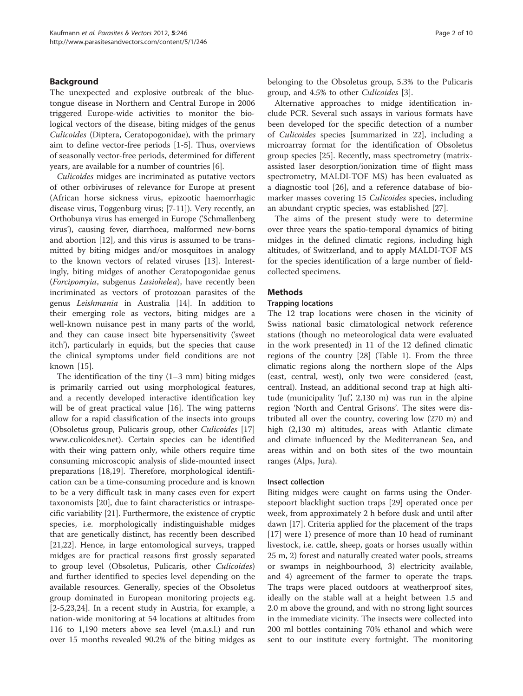## Background

The unexpected and explosive outbreak of the bluetongue disease in Northern and Central Europe in 2006 triggered Europe-wide activities to monitor the biological vectors of the disease, biting midges of the genus Culicoides (Diptera, Ceratopogonidae), with the primary aim to define vector-free periods [\[1-5](#page-8-0)]. Thus, overviews of seasonally vector-free periods, determined for different years, are available for a number of countries [\[6](#page-8-0)].

Culicoides midges are incriminated as putative vectors of other orbiviruses of relevance for Europe at present (African horse sickness virus, epizootic haemorrhagic disease virus, Toggenburg virus; [\[7](#page-8-0)-[11](#page-8-0)]). Very recently, an Orthobunya virus has emerged in Europe ('Schmallenberg virus'), causing fever, diarrhoea, malformed new-borns and abortion [[12\]](#page-8-0), and this virus is assumed to be transmitted by biting midges and/or mosquitoes in analogy to the known vectors of related viruses [[13\]](#page-8-0). Interestingly, biting midges of another Ceratopogonidae genus (Forcipomyia, subgenus Lasiohelea), have recently been incriminated as vectors of protozoan parasites of the genus Leishmania in Australia [[14\]](#page-8-0). In addition to their emerging role as vectors, biting midges are a well-known nuisance pest in many parts of the world, and they can cause insect bite hypersensitivity ('sweet itch'), particularly in equids, but the species that cause the clinical symptoms under field conditions are not known [[15](#page-8-0)].

The identification of the tiny  $(1-3 \text{ mm})$  biting midges is primarily carried out using morphological features, and a recently developed interactive identification key will be of great practical value [[16\]](#page-9-0). The wing patterns allow for a rapid classification of the insects into groups (Obsoletus group, Pulicaris group, other Culicoides [[17](#page-9-0)] [www.culicoides.net\)](http://www.culicoides.net). Certain species can be identified with their wing pattern only, while others require time consuming microscopic analysis of slide-mounted insect preparations [[18](#page-9-0),[19](#page-9-0)]. Therefore, morphological identification can be a time-consuming procedure and is known to be a very difficult task in many cases even for expert taxonomists [[20](#page-9-0)], due to faint characteristics or intraspecific variability [[21\]](#page-9-0). Furthermore, the existence of cryptic species, i.e. morphologically indistinguishable midges that are genetically distinct, has recently been described [[21,22\]](#page-9-0). Hence, in large entomological surveys, trapped midges are for practical reasons first grossly separated to group level (Obsoletus, Pulicaris, other Culicoides) and further identified to species level depending on the available resources. Generally, species of the Obsoletus group dominated in European monitoring projects e.g. [[2-5](#page-8-0)[,23,24](#page-9-0)]. In a recent study in Austria, for example, a nation-wide monitoring at 54 locations at altitudes from 116 to 1,190 meters above sea level (m.a.s.l.) and run over 15 months revealed 90.2% of the biting midges as belonging to the Obsoletus group, 5.3% to the Pulicaris group, and 4.5% to other Culicoides [\[3](#page-8-0)].

Alternative approaches to midge identification include PCR. Several such assays in various formats have been developed for the specific detection of a number of Culicoides species [summarized in 22], including a microarray format for the identification of Obsoletus group species [[25](#page-9-0)]. Recently, mass spectrometry (matrixassisted laser desorption/ionization time of flight mass spectrometry, MALDI-TOF MS) has been evaluated as a diagnostic tool [[26\]](#page-9-0), and a reference database of biomarker masses covering 15 Culicoides species, including an abundant cryptic species, was established [\[27](#page-9-0)].

The aims of the present study were to determine over three years the spatio-temporal dynamics of biting midges in the defined climatic regions, including high altitudes, of Switzerland, and to apply MALDI-TOF MS for the species identification of a large number of fieldcollected specimens.

## Methods

#### Trapping locations

The 12 trap locations were chosen in the vicinity of Swiss national basic climatological network reference stations (though no meteorological data were evaluated in the work presented) in 11 of the 12 defined climatic regions of the country [[28](#page-9-0)] (Table [1\)](#page-2-0). From the three climatic regions along the northern slope of the Alps (east, central, west), only two were considered (east, central). Instead, an additional second trap at high altitude (municipality 'Juf', 2,130 m) was run in the alpine region 'North and Central Grisons'. The sites were distributed all over the country, covering low (270 m) and high (2,130 m) altitudes, areas with Atlantic climate and climate influenced by the Mediterranean Sea, and areas within and on both sites of the two mountain ranges (Alps, Jura).

#### Insect collection

Biting midges were caught on farms using the Onderstepoort blacklight suction traps [\[29\]](#page-9-0) operated once per week, from approximately 2 h before dusk and until after dawn [[17](#page-9-0)]. Criteria applied for the placement of the traps [[17\]](#page-9-0) were 1) presence of more than 10 head of ruminant livestock, i.e. cattle, sheep, goats or horses usually within 25 m, 2) forest and naturally created water pools, streams or swamps in neighbourhood, 3) electricity available, and 4) agreement of the farmer to operate the traps. The traps were placed outdoors at weatherproof sites, ideally on the stable wall at a height between 1.5 and 2.0 m above the ground, and with no strong light sources in the immediate vicinity. The insects were collected into 200 ml bottles containing 70% ethanol and which were sent to our institute every fortnight. The monitoring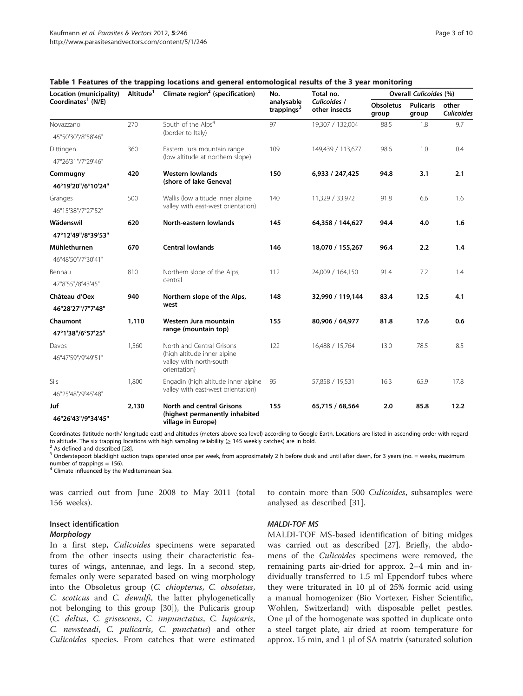| Location (municipality)<br>Coordinates <sup>1</sup> (N/E) | Altitude <sup>1</sup> | Climate region <sup>2</sup> (specification)                                                         | No.<br>analysable<br>trappings <sup>3</sup> | Total no.                     | <b>Overall Culicoides (%)</b> |                           |                     |
|-----------------------------------------------------------|-----------------------|-----------------------------------------------------------------------------------------------------|---------------------------------------------|-------------------------------|-------------------------------|---------------------------|---------------------|
|                                                           |                       |                                                                                                     |                                             | Culicoides /<br>other insects | <b>Obsoletus</b><br>group     | <b>Pulicaris</b><br>group | other<br>Culicoides |
| Novazzano                                                 | 270                   | South of the Alps <sup>4</sup><br>(border to Italy)                                                 | 97                                          | 19,307 / 132,004              | 88.5                          | 1.8                       | 9.7                 |
| 45°50'30"/8°58'46"                                        |                       |                                                                                                     |                                             |                               |                               |                           |                     |
| Dittingen                                                 | 360                   | Eastern Jura mountain range<br>(low altitude at northern slope)                                     | 109                                         | 149,439 / 113,677             | 98.6                          | 1.0                       | 0.4                 |
| 47°26'31"/7°29'46"                                        |                       |                                                                                                     |                                             |                               |                               |                           |                     |
| Commugny                                                  | 420                   | <b>Western lowlands</b><br>(shore of lake Geneva)                                                   | 150                                         | 6,933 / 247,425               | 94.8                          | 3.1                       | 2.1                 |
| 46°19'20"/6°10'24"                                        |                       |                                                                                                     |                                             |                               |                               |                           |                     |
| Granges                                                   | 500                   | Wallis (low altitude inner alpine<br>valley with east-west orientation)                             | 140                                         | 11,329 / 33,972               | 91.8                          | 6.6                       | 1.6                 |
| 46°15'38"/7°27'52"                                        |                       |                                                                                                     |                                             |                               |                               |                           |                     |
| Wädenswil                                                 | 620                   | North-eastern lowlands                                                                              | 145                                         | 64,358 / 144,627              | 94.4                          | 4.0                       | 1.6                 |
| 47°12'49"/8°39'53"                                        |                       |                                                                                                     |                                             |                               |                               |                           |                     |
| Mühlethurnen                                              | 670                   | <b>Central lowlands</b>                                                                             | 146                                         | 18,070 / 155,267              | 96.4                          | 2.2                       | 1.4                 |
| 46°48'50"/7°30'41"                                        |                       |                                                                                                     |                                             |                               |                               |                           |                     |
| Bennau                                                    | 810                   | Northern slope of the Alps,<br>central                                                              | 112                                         | 24,009 / 164,150              | 91.4                          | 7.2                       | 1.4                 |
| 47°8'55"/8°43'45"                                         |                       |                                                                                                     |                                             |                               |                               |                           |                     |
| Château d'Oex                                             | 940                   | Northern slope of the Alps,<br>west                                                                 | 148                                         | 32,990 / 119,144              | 83.4                          | 12.5                      | 4.1                 |
| 46°28'27"/7°7'48"                                         |                       |                                                                                                     |                                             |                               |                               |                           |                     |
| Chaumont                                                  | 1,110                 | Western Jura mountain<br>range (mountain top)                                                       | 155                                         | 80,906 / 64,977               | 81.8                          | 17.6                      | 0.6                 |
| 47°1'38"/6°57'25"                                         |                       |                                                                                                     |                                             |                               |                               |                           |                     |
| Davos                                                     | 1,560                 | North and Central Grisons<br>(high altitude inner alpine<br>valley with north-south<br>orientation) | 122                                         | 16,488 / 15,764               | 13.0                          | 78.5                      | 8.5                 |
| 46°47'59"/9°49'51"                                        |                       |                                                                                                     |                                             |                               |                               |                           |                     |
| Sils                                                      | 1,800                 | Engadin (high altitude inner alpine<br>valley with east-west orientation)                           | 95                                          | 57,858 / 19,531               | 16.3                          | 65.9                      | 17.8                |
| 46°25'48"/9°45'48"                                        |                       |                                                                                                     |                                             |                               |                               |                           |                     |
| Juf                                                       | 2,130                 | North and central Grisons                                                                           | 155                                         | 65,715 / 68,564               | 2.0                           | 85.8                      | 12.2                |
| 46°26'43"/9°34'45"                                        |                       | (highest permanently inhabited<br>village in Europe)                                                |                                             |                               |                               |                           |                     |

#### <span id="page-2-0"></span>Table 1 Features of the trapping locations and general entomological results of the 3 year monitoring

Coordinates (latitude north/ longitude east) and altitudes (meters above sea level) according to Google Earth. Locations are listed in ascending order with regard to altitude. The six trapping locations with high sampling reliability ( $\geq$  145 weekly catches) are in bold.<br><sup>2</sup> As defined and described [\[28](#page-9-0)].<br><sup>3</sup> Onderstepoort blacklight suction traps operated once per week, from app

number of trappings = 156).

<sup>4</sup> Climate influenced by the Mediterranean Sea.

was carried out from June 2008 to May 2011 (total 156 weeks).

Insect identification

#### Morphology

In a first step, *Culicoides* specimens were separated from the other insects using their characteristic features of wings, antennae, and legs. In a second step, females only were separated based on wing morphology into the Obsoletus group (C. chiopterus, C. obsoletus, C. scoticus and C. dewulfi, the latter phylogenetically not belonging to this group [[30](#page-9-0)]), the Pulicaris group (C. deltus, C. grisescens, C. impunctatus, C. lupicaris, C. newsteadi, C. pulicaris, C. punctatus) and other Culicoides species. From catches that were estimated

#### MALDI-TOF MS

analysed as described [\[31](#page-9-0)].

MALDI-TOF MS-based identification of biting midges was carried out as described [\[27\]](#page-9-0). Briefly, the abdomens of the *Culicoides* specimens were removed, the remaining parts air-dried for approx. 2–4 min and individually transferred to 1.5 ml Eppendorf tubes where they were triturated in 10 μl of 25% formic acid using a manual homogenizer (Bio Vortexer, Fisher Scientific, Wohlen, Switzerland) with disposable pellet pestles. One μl of the homogenate was spotted in duplicate onto a steel target plate, air dried at room temperature for approx. 15 min, and 1 μl of SA matrix (saturated solution

to contain more than 500 *Culicoides*, subsamples were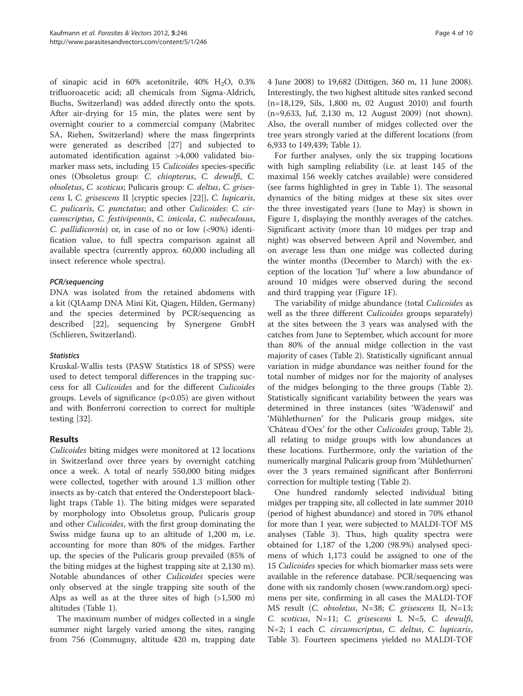of sinapic acid in  $60\%$  acetonitrile,  $40\%$  H<sub>2</sub>O, 0.3% trifluoroacetic acid; all chemicals from Sigma-Aldrich, Buchs, Switzerland) was added directly onto the spots. After air-drying for 15 min, the plates were sent by overnight courier to a commercial company (Mabritec SA, Riehen, Switzerland) where the mass fingerprints were generated as described [[27](#page-9-0)] and subjected to automated identification against >4,000 validated biomarker mass sets, including 15 Culicoides species-specific ones (Obsoletus group: C. chiopterus, C. dewulfi, C. obsoletus, C. scoticus; Pulicaris group: C. deltus, C. grisescens I, C. grisescens II {cryptic species [\[22](#page-9-0)]}, C. lupicaris, C. pulicaris, C. punctatus; and other Culicoides: C. circumscriptus, C. festivipennis, C. imicola, C. nubeculosus, C. pallidicornis) or, in case of no or low (<90%) identification value, to full spectra comparison against all available spectra (currently approx. 60,000 including all insect reference whole spectra).

## PCR/sequencing

DNA was isolated from the retained abdomens with a kit (QIAamp DNA Mini Kit, Qiagen, Hilden, Germany) and the species determined by PCR/sequencing as described [[22\]](#page-9-0), sequencing by Synergene GmbH (Schlieren, Switzerland).

## **Statistics**

Kruskal-Wallis tests (PASW Statistics 18 of SPSS) were used to detect temporal differences in the trapping success for all Culicoides and for the different Culicoides groups. Levels of significance  $(p<0.05)$  are given without and with Bonferroni correction to correct for multiple testing [\[32\]](#page-9-0).

## Results

Culicoides biting midges were monitored at 12 locations in Switzerland over three years by overnight catching once a week. A total of nearly 550,000 biting midges were collected, together with around 1.3 million other insects as by-catch that entered the Onderstepoort blacklight traps (Table [1\)](#page-2-0). The biting midges were separated by morphology into Obsoletus group, Pulicaris group and other *Culicoides*, with the first group dominating the Swiss midge fauna up to an altitude of 1,200 m, i.e. accounting for more than 80% of the midges. Farther up, the species of the Pulicaris group prevailed (85% of the biting midges at the highest trapping site at 2,130 m). Notable abundances of other Culicoides species were only observed at the single trapping site south of the Alps as well as at the three sites of high (>1,500 m) altitudes (Table [1](#page-2-0)).

The maximum number of midges collected in a single summer night largely varied among the sites, ranging from 756 (Commugny, altitude 420 m, trapping date

4 June 2008) to 19,682 (Dittigen, 360 m, 11 June 2008). Interestingly, the two highest altitude sites ranked second (n=18,129, Sils, 1,800 m, 02 August 2010) and fourth (n=9,633, Juf, 2,130 m, 12 August 2009) (not shown). Also, the overall number of midges collected over the tree years strongly varied at the different locations (from 6,933 to 149,439; Table [1](#page-2-0)).

For further analyses, only the six trapping locations with high sampling reliability (i.e. at least 145 of the maximal 156 weekly catches available) were considered (see farms highlighted in grey in Table [1\)](#page-2-0). The seasonal dynamics of the biting midges at these six sites over the three investigated years (June to May) is shown in Figure [1,](#page-4-0) displaying the monthly averages of the catches. Significant activity (more than 10 midges per trap and night) was observed between April and November, and on average less than one midge was collected during the winter months (December to March) with the exception of the location 'Juf' where a low abundance of around 10 midges were observed during the second and third trapping year (Figure [1F](#page-4-0)).

The variability of midge abundance (total Culicoides as well as the three different *Culicoides* groups separately) at the sites between the 3 years was analysed with the catches from June to September, which account for more than 80% of the annual midge collection in the vast majority of cases (Table [2](#page-5-0)). Statistically significant annual variation in midge abundance was neither found for the total number of midges nor for the majority of analyses of the midges belonging to the three groups (Table [2](#page-5-0)). Statistically significant variability between the years was determined in three instances (sites 'Wädenswil' and 'Mühlethurnen' for the Pulicaris group midges, site 'Château d'Oex' for the other Culicoides group, Table [2](#page-5-0)), all relating to midge groups with low abundances at these locations. Furthermore, only the variation of the numerically marginal Pulicaris group from 'Mühlethurnen' over the 3 years remained significant after Bonferroni correction for multiple testing (Table [2\)](#page-5-0).

One hundred randomly selected individual biting midges per trapping site, all collected in late summer 2010 (period of highest abundance) and stored in 70% ethanol for more than 1 year, were subjected to MALDI-TOF MS analyses (Table [3\)](#page-6-0). Thus, high quality spectra were obtained for 1,187 of the 1,200 (98.9%) analysed specimens of which 1,173 could be assigned to one of the 15 Culicoides species for which biomarker mass sets were available in the reference database. PCR/sequencing was done with six randomly chosen [\(www.random.org\)](http://www.random.org) specimens per site, confirming in all cases the MALDI-TOF MS result (C. obsoletus, N=38; C. grisescens II, N=13; C. scoticus, N=11; C. grisescens I, N=5, C. dewulfi, N=2; 1 each C. circumscriptus, C. deltus, C. lupicaris, Table [3\)](#page-6-0). Fourteen specimens yielded no MALDI-TOF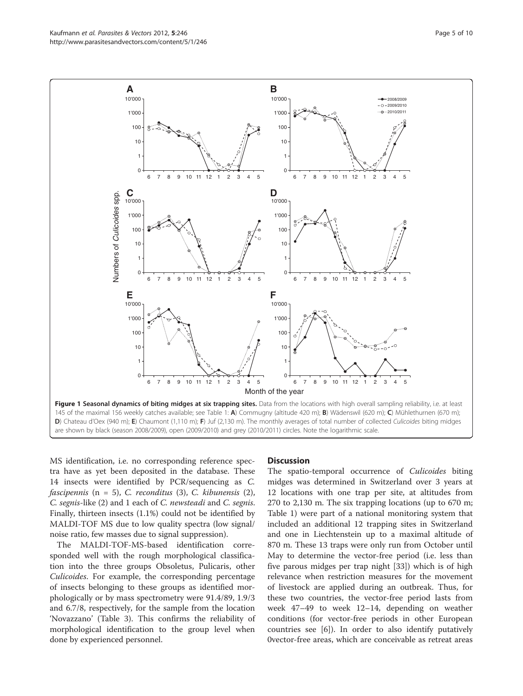<span id="page-4-0"></span>Kaufmann et al. Parasites & Vectors 2012, 5:246 Page 5 of 10 http://www.parasitesandvectors.com/content/5/1/246



MS identification, i.e. no corresponding reference spectra have as yet been deposited in the database. These 14 insects were identified by PCR/sequencing as C.  $fasei$ ipennis (n = 5), C. reconditus (3), C. kibunensis (2), C. segnis-like (2) and 1 each of C. newsteadi and C. segnis. Finally, thirteen insects (1.1%) could not be identified by MALDI-TOF MS due to low quality spectra (low signal/ noise ratio, few masses due to signal suppression).

The MALDI-TOF-MS-based identification corresponded well with the rough morphological classification into the three groups Obsoletus, Pulicaris, other Culicoides. For example, the corresponding percentage of insects belonging to these groups as identified morphologically or by mass spectrometry were 91.4/89, 1.9/3 and 6.7/8, respectively, for the sample from the location 'Novazzano' (Table [3](#page-6-0)). This confirms the reliability of morphological identification to the group level when done by experienced personnel.

## **Discussion**

The spatio-temporal occurrence of *Culicoides* biting midges was determined in Switzerland over 3 years at 12 locations with one trap per site, at altitudes from 270 to 2,130 m. The six trapping locations (up to 670 m; Table [1](#page-2-0)) were part of a national monitoring system that included an additional 12 trapping sites in Switzerland and one in Liechtenstein up to a maximal altitude of 870 m. These 13 traps were only run from October until May to determine the vector-free period (i.e. less than five parous midges per trap night [\[33\]](#page-9-0)) which is of high relevance when restriction measures for the movement of livestock are applied during an outbreak. Thus, for these two countries, the vector-free period lasts from week 47–49 to week 12–14, depending on weather conditions (for vector-free periods in other European countries see [[6\]](#page-8-0)). In order to also identify putatively 0vector-free areas, which are conceivable as retreat areas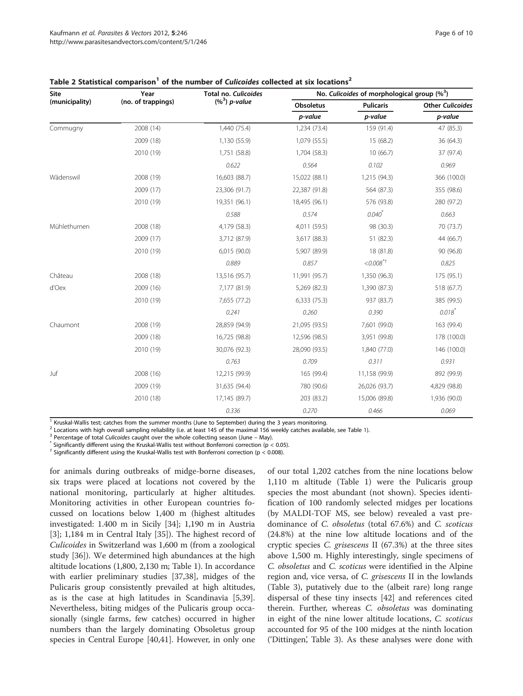| Site<br>(municipality) | Year               | Total no. Culicoides | No. Culicoides of morphological group $(\%^3)$ |                        |                         |  |  |
|------------------------|--------------------|----------------------|------------------------------------------------|------------------------|-------------------------|--|--|
|                        | (no. of trappings) | $(%^3)$ p-value      | Obsoletus                                      | <b>Pulicaris</b>       | <b>Other Culicoides</b> |  |  |
|                        |                    |                      | p-value                                        | p-value                | p-value                 |  |  |
| Commugny               | 2008 (14)          | 1,440 (75.4)         | 1,234 (73.4)                                   | 159 (91.4)             | 47 (85.3)               |  |  |
|                        | 2009 (18)          | 1,130 (55.9)         | 1,079 (55.5)                                   | 15 (68.2)              | 36 (64.3)               |  |  |
|                        | 2010 (19)          | 1,751 (58.8)         | 1,704 (58.3)                                   | 10(66.7)               | 37 (97.4)               |  |  |
|                        |                    | 0.622                | 0.564                                          | 0.102                  | 0.969                   |  |  |
| Wädenswil              | 2008 (19)          | 16,603 (88.7)        | 15,022 (88.1)                                  | 1,215 (94.3)           | 366 (100.0)             |  |  |
|                        | 2009 (17)          | 23,306 (91.7)        | 22,387 (91.8)                                  | 564 (87.3)             | 355 (98.6)              |  |  |
|                        | 2010 (19)          | 19,351 (96.1)        | 18,495 (96.1)                                  | 576 (93.8)             | 280 (97.2)              |  |  |
|                        |                    | 0.588                | 0.574                                          | $0.040^{*}$            | 0.663                   |  |  |
| Mühlethurnen           | 2008 (18)          | 4,179 (58.3)         | 4,011 (59.5)                                   | 98 (30.3)              | 70 (73.7)               |  |  |
|                        | 2009 (17)          | 3,712 (87.9)         | 3,617 (88.3)                                   | 51 (82.3)              | 44 (66.7)               |  |  |
|                        | 2010 (19)          | 6,015 (90.0)         | 5,907 (89.9)                                   | 18 (81.8)              | 90 (96.8)               |  |  |
|                        |                    | 0.889                | 0.857                                          | $<0.008$ <sup>*+</sup> | 0.825                   |  |  |
| Château                | 2008 (18)          | 13,516 (95.7)        | 11,991 (95.7)                                  | 1,350 (96.3)           | 175 (95.1)              |  |  |
| d'Oex                  | 2009 (16)          | 7,177 (81.9)         | 5,269 (82.3)                                   | 1,390 (87.3)           | 518 (67.7)              |  |  |
|                        | 2010 (19)          | 7,655 (77.2)         | 6,333 (75.3)                                   | 937 (83.7)             | 385 (99.5)              |  |  |
|                        |                    | 0.241                | 0.260                                          | 0.390                  | $0.018^{*}$             |  |  |
| Chaumont               | 2008 (19)          | 28,859 (94.9)        | 21,095 (93.5)                                  | 7,601 (99.0)           | 163 (99.4)              |  |  |
|                        | 2009 (18)          | 16,725 (98.8)        | 12,596 (98.5)                                  | 3,951 (99.8)           | 178 (100.0)             |  |  |
|                        | 2010 (19)          | 30,076 (92.3)        | 28,090 (93.5)                                  | 1,840 (77.0)           | 146 (100.0)             |  |  |
|                        |                    | 0.763                | 0.709                                          | 0.311                  | 0.931                   |  |  |
| Juf                    | 2008 (16)          | 12,215 (99.9)        | 165 (99.4)                                     | 11,158 (99.9)          | 892 (99.9)              |  |  |
|                        | 2009 (19)          | 31,635 (94.4)        | 780 (90.6)                                     | 26,026 (93.7)          | 4,829 (98.8)            |  |  |
|                        | 2010 (18)          | 17,145 (89.7)        | 203 (83.2)                                     | 15,006 (89.8)          | 1,936 (90.0)            |  |  |
|                        |                    | 0.336                | 0.270                                          | 0.466                  | 0.069                   |  |  |

### <span id="page-5-0"></span>Table 2 Statistical comparison<sup>1</sup> of the number of Culicoides collected at six locations<sup>2</sup>

 $1$  Kruskal-Wallis test; catches from the summer months (June to September) during the 3 years monitoring.

<sup>2</sup> Locations with high overall sampling reliability (i.e. at least 145 of the maximal 156 weekly catches available, see Table [1\)](#page-2-0).<br><sup>3</sup> Percentage of total Culicoides caught over the whole collecting season (June – May).<br><sup></sup>

 $<sup>†</sup>$  Significantly different using the Kruskal-Wallis test with Bonferroni correction (p < 0.008).</sup>

for animals during outbreaks of midge-borne diseases, six traps were placed at locations not covered by the national monitoring, particularly at higher altitudes. Monitoring activities in other European countries focussed on locations below 1,400 m (highest altitudes investigated: 1.400 m in Sicily [[34\]](#page-9-0); 1,190 m in Austria [[3\]](#page-8-0); 1,184 m in Central Italy [\[35\]](#page-9-0)). The highest record of Culicoides in Switzerland was 1,600 m (from a zoological study [[36\]](#page-9-0)). We determined high abundances at the high altitude locations (1,800, 2,130 m; Table [1\)](#page-2-0). In accordance with earlier preliminary studies [[37,38](#page-9-0)], midges of the Pulicaris group consistently prevailed at high altitudes, as is the case at high latitudes in Scandinavia [\[5](#page-8-0)[,39](#page-9-0)]. Nevertheless, biting midges of the Pulicaris group occasionally (single farms, few catches) occurred in higher numbers than the largely dominating Obsoletus group species in Central Europe [\[40,41](#page-9-0)]. However, in only one of our total 1,202 catches from the nine locations below 1,110 m altitude (Table [1](#page-2-0)) were the Pulicaris group species the most abundant (not shown). Species identification of 100 randomly selected midges per locations (by MALDI-TOF MS, see below) revealed a vast predominance of C. obsoletus (total 67.6%) and C. scoticus (24.8%) at the nine low altitude locations and of the cryptic species C. grisescens II (67.3%) at the three sites above 1,500 m. Highly interestingly, single specimens of C. obsoletus and C. scoticus were identified in the Alpine region and, vice versa, of C. grisescens II in the lowlands (Table [3](#page-6-0)), putatively due to the (albeit rare) long range dispersal of these tiny insects [[42\]](#page-9-0) and references cited therein. Further, whereas C. obsoletus was dominating in eight of the nine lower altitude locations, C. scoticus accounted for 95 of the 100 midges at the ninth location ('Dittingen', Table [3\)](#page-6-0). As these analyses were done with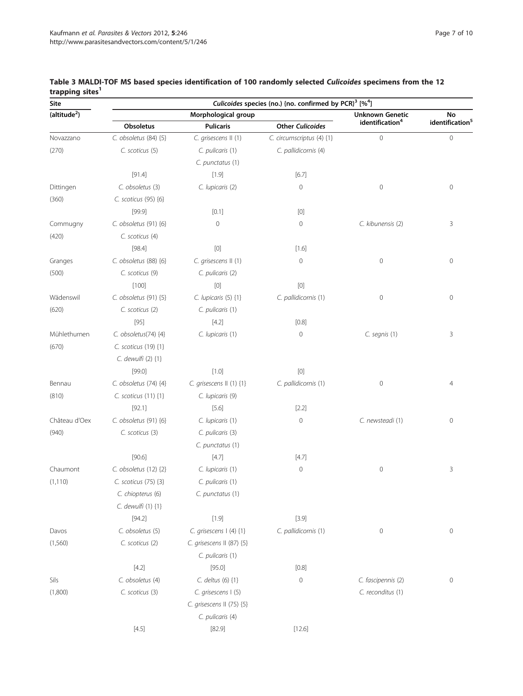| <b>Site</b>              | Culicoides species (no.) {no. confirmed by PCR} <sup>3</sup> [% <sup>4</sup> ] |                                                                                                                                                                                                                                                                                                                                                                                                                                                                                                                                                                                                    |                                                                                                                                                                                                                                                                                                                                                                                                                                                                                                                                                                                                                                                                    |                             |                             |  |  |
|--------------------------|--------------------------------------------------------------------------------|----------------------------------------------------------------------------------------------------------------------------------------------------------------------------------------------------------------------------------------------------------------------------------------------------------------------------------------------------------------------------------------------------------------------------------------------------------------------------------------------------------------------------------------------------------------------------------------------------|--------------------------------------------------------------------------------------------------------------------------------------------------------------------------------------------------------------------------------------------------------------------------------------------------------------------------------------------------------------------------------------------------------------------------------------------------------------------------------------------------------------------------------------------------------------------------------------------------------------------------------------------------------------------|-----------------------------|-----------------------------|--|--|
| (altitude <sup>2</sup> ) |                                                                                | Morphological group                                                                                                                                                                                                                                                                                                                                                                                                                                                                                                                                                                                | <b>Unknown Genetic</b>                                                                                                                                                                                                                                                                                                                                                                                                                                                                                                                                                                                                                                             | No                          |                             |  |  |
|                          | Obsoletus                                                                      | <b>Pulicaris</b>                                                                                                                                                                                                                                                                                                                                                                                                                                                                                                                                                                                   | <b>Other Culicoides</b>                                                                                                                                                                                                                                                                                                                                                                                                                                                                                                                                                                                                                                            | identification <sup>4</sup> | identification <sup>5</sup> |  |  |
| Novazzano                | C. obsoletus (84) {5}                                                          | C. grisescens II (1)                                                                                                                                                                                                                                                                                                                                                                                                                                                                                                                                                                               | C. circumscriptus (4) {1}                                                                                                                                                                                                                                                                                                                                                                                                                                                                                                                                                                                                                                          | $\mathbf 0$                 | $\mathbf{0}$                |  |  |
| (270)                    | C. scoticus (5)                                                                | C. pulicaris (1)                                                                                                                                                                                                                                                                                                                                                                                                                                                                                                                                                                                   | C. pallidicornis (4)                                                                                                                                                                                                                                                                                                                                                                                                                                                                                                                                                                                                                                               |                             |                             |  |  |
|                          |                                                                                | C. punctatus (1)                                                                                                                                                                                                                                                                                                                                                                                                                                                                                                                                                                                   |                                                                                                                                                                                                                                                                                                                                                                                                                                                                                                                                                                                                                                                                    |                             |                             |  |  |
|                          | [91.4]                                                                         | $[1.9]$                                                                                                                                                                                                                                                                                                                                                                                                                                                                                                                                                                                            | [6.7]                                                                                                                                                                                                                                                                                                                                                                                                                                                                                                                                                                                                                                                              |                             |                             |  |  |
| Dittingen                | C. obsoletus (3)                                                               | C. lupicaris (2)                                                                                                                                                                                                                                                                                                                                                                                                                                                                                                                                                                                   | $\mathbf 0$                                                                                                                                                                                                                                                                                                                                                                                                                                                                                                                                                                                                                                                        | $\circ$                     | $\mathsf{O}\xspace$         |  |  |
| (360)                    | C. scoticus (95) {6}                                                           |                                                                                                                                                                                                                                                                                                                                                                                                                                                                                                                                                                                                    |                                                                                                                                                                                                                                                                                                                                                                                                                                                                                                                                                                                                                                                                    |                             |                             |  |  |
|                          | [99.9]                                                                         | [0.1]                                                                                                                                                                                                                                                                                                                                                                                                                                                                                                                                                                                              | $[0] % \begin{center} % \includegraphics[width=\linewidth]{imagesSupplemental_3.png} % \end{center} % \caption { % Our method is used for the method. % Note that the \emph{exponent} and the \emph{exponent} is used for the \emph{exponent} and the \emph{exponent} is used for the \emph{exponent} and the \emph{exponent} is used for the \emph{exponent} and the \emph{exponent} is used for the \emph{exponent} and the \emph{exponent} is used for the \emph{exponent} and the \emph{exponent} is used for the \emph{exponent} and the \emph{exponent} is used for the \emph{exponent} and the \emph{exponent} is used for the \emph{exponent} and the \em$ |                             |                             |  |  |
| Commugny                 | C. obsoletus (91) {6}                                                          | $\mathbf 0$                                                                                                                                                                                                                                                                                                                                                                                                                                                                                                                                                                                        | $\mathbf 0$                                                                                                                                                                                                                                                                                                                                                                                                                                                                                                                                                                                                                                                        | C. kibunensis (2)           | 3                           |  |  |
| (420)                    | C. scoticus (4)                                                                |                                                                                                                                                                                                                                                                                                                                                                                                                                                                                                                                                                                                    |                                                                                                                                                                                                                                                                                                                                                                                                                                                                                                                                                                                                                                                                    |                             |                             |  |  |
|                          | [98.4]                                                                         | $[0] % \begin{center} % \includegraphics[width=\linewidth]{imagesSupplemental_3.png} % \end{center} % \caption { % Our method can be used for the use of the image. % Note that the \emph{DefNet}~\cite{bib66} as a function of the \emph{DefNet}~\cite{bib66} as a function of the \emph{DefNet}~\cite{bib66} as a function of the \emph{DefNet}~\cite{bib66} as a function of the \emph{DefNet}~\cite{bib66} as a function of the \emph{DefNet}~\cite{bib66} as a function of the \emph{DefNet}~\cite{bib66} as a function of the \emph{DefNet}~\cite{bib66} as a function of the \emph{DefNet}$ | $[1.6]$                                                                                                                                                                                                                                                                                                                                                                                                                                                                                                                                                                                                                                                            |                             |                             |  |  |
| Granges                  | C. obsoletus (88) {6}                                                          | C. grisescens II (1)                                                                                                                                                                                                                                                                                                                                                                                                                                                                                                                                                                               | $\mathbf 0$                                                                                                                                                                                                                                                                                                                                                                                                                                                                                                                                                                                                                                                        | $\circ$                     | $\mathsf{O}\xspace$         |  |  |
| (500)                    | C. scoticus (9)                                                                | C. pulicaris (2)                                                                                                                                                                                                                                                                                                                                                                                                                                                                                                                                                                                   |                                                                                                                                                                                                                                                                                                                                                                                                                                                                                                                                                                                                                                                                    |                             |                             |  |  |
|                          | $[100]$                                                                        | [0]                                                                                                                                                                                                                                                                                                                                                                                                                                                                                                                                                                                                | $[0] % \begin{center} % \includegraphics[width=\linewidth]{imagesSupplemental_3.png} % \end{center} % \caption { % Our method can be used for the use of the image. % Note that the \emph{DefNet}~\cite{bib66} as a function of the \emph{DefNet}~\cite{bib66} as a function of the \emph{DefNet}~\cite{bib66} as a function of the \emph{DefNet}~\cite{bib66} as a function of the \emph{DefNet}~\cite{bib66} as a function of the \emph{DefNet}~\cite{bib66} as a function of the \emph{DefNet}~\cite{bib66} as a function of the \emph{DefNet}~\cite{bib66} as a function of the \emph{DefNet}$                                                                 |                             |                             |  |  |
| Wädenswil                | C. obsoletus (91) {5}                                                          | C. lupicaris (5) {1}                                                                                                                                                                                                                                                                                                                                                                                                                                                                                                                                                                               | C. pallidicornis (1)                                                                                                                                                                                                                                                                                                                                                                                                                                                                                                                                                                                                                                               | $\circ$                     | 0                           |  |  |
| (620)                    | C. scoticus (2)                                                                | C. pulicaris (1)                                                                                                                                                                                                                                                                                                                                                                                                                                                                                                                                                                                   |                                                                                                                                                                                                                                                                                                                                                                                                                                                                                                                                                                                                                                                                    |                             |                             |  |  |
|                          | $[95]$                                                                         | $[4.2]$                                                                                                                                                                                                                                                                                                                                                                                                                                                                                                                                                                                            | [0.8]                                                                                                                                                                                                                                                                                                                                                                                                                                                                                                                                                                                                                                                              |                             |                             |  |  |
| Mühlethurnen             | C. obsoletus(74) {4}                                                           | C. lupicaris (1)                                                                                                                                                                                                                                                                                                                                                                                                                                                                                                                                                                                   | $\mathbf 0$                                                                                                                                                                                                                                                                                                                                                                                                                                                                                                                                                                                                                                                        | C. segnis (1)               | 3                           |  |  |
| (670)                    | C. scoticus (19) {1}                                                           |                                                                                                                                                                                                                                                                                                                                                                                                                                                                                                                                                                                                    |                                                                                                                                                                                                                                                                                                                                                                                                                                                                                                                                                                                                                                                                    |                             |                             |  |  |
|                          | C. dewulfi (2) {1}                                                             |                                                                                                                                                                                                                                                                                                                                                                                                                                                                                                                                                                                                    |                                                                                                                                                                                                                                                                                                                                                                                                                                                                                                                                                                                                                                                                    |                             |                             |  |  |
|                          | [99.0]                                                                         | $[1.0]$                                                                                                                                                                                                                                                                                                                                                                                                                                                                                                                                                                                            | $[0] % \begin{center} % \includegraphics[width=\linewidth]{imagesSupplemental_3.png} % \end{center} % \caption { % Our method can be used for the use of the image. % Note that the \emph{Def}(i) and the \emph{Def}(i) are the same as a function of the image. % Note that the \emph{Def}(i) and the \emph{Def}(i) are the same as a function of the image. % Note that the \emph{Def}(i) and the \emph{Def}(i) are the same as a function of the image. % } % \label{fig:Def}(i) and the \emph{Def}(i) are the same as a function of the image. % Note that the \emph{Def}(i) and the \emph{Def}(i) are the same as a function of the image. %$                 |                             |                             |  |  |
| Bennau                   | C. obsoletus (74) {4}                                                          | C. grisescens II (1) {1}                                                                                                                                                                                                                                                                                                                                                                                                                                                                                                                                                                           | C. pallidicornis (1)                                                                                                                                                                                                                                                                                                                                                                                                                                                                                                                                                                                                                                               | $\mathbf 0$                 | $\overline{4}$              |  |  |
| (810)                    | C. scoticus (11) {1}                                                           | C. lupicaris (9)                                                                                                                                                                                                                                                                                                                                                                                                                                                                                                                                                                                   |                                                                                                                                                                                                                                                                                                                                                                                                                                                                                                                                                                                                                                                                    |                             |                             |  |  |
|                          | [92.1]                                                                         | $[5.6]$                                                                                                                                                                                                                                                                                                                                                                                                                                                                                                                                                                                            | $[2.2]$                                                                                                                                                                                                                                                                                                                                                                                                                                                                                                                                                                                                                                                            |                             |                             |  |  |
| Château d'Oex            | C. obsoletus (91) {6}                                                          | C. lupicaris (1)                                                                                                                                                                                                                                                                                                                                                                                                                                                                                                                                                                                   | $\mathbb O$                                                                                                                                                                                                                                                                                                                                                                                                                                                                                                                                                                                                                                                        | C. newsteadi (1)            | 0                           |  |  |
| (940)                    | C. scoticus (3)                                                                | C. pulicaris (3)                                                                                                                                                                                                                                                                                                                                                                                                                                                                                                                                                                                   |                                                                                                                                                                                                                                                                                                                                                                                                                                                                                                                                                                                                                                                                    |                             |                             |  |  |
|                          |                                                                                | C. punctatus (1)                                                                                                                                                                                                                                                                                                                                                                                                                                                                                                                                                                                   |                                                                                                                                                                                                                                                                                                                                                                                                                                                                                                                                                                                                                                                                    |                             |                             |  |  |
|                          | [90.6]                                                                         | [4.7]                                                                                                                                                                                                                                                                                                                                                                                                                                                                                                                                                                                              | [4.7]                                                                                                                                                                                                                                                                                                                                                                                                                                                                                                                                                                                                                                                              |                             |                             |  |  |
| Chaumont                 | C. obsoletus (12) {2}                                                          | C. lupicaris (1)                                                                                                                                                                                                                                                                                                                                                                                                                                                                                                                                                                                   | $\mathbf 0$                                                                                                                                                                                                                                                                                                                                                                                                                                                                                                                                                                                                                                                        | $\circ$                     | 3                           |  |  |
| (1, 110)                 | C. scoticus (75) {3}                                                           | C. pulicaris (1)                                                                                                                                                                                                                                                                                                                                                                                                                                                                                                                                                                                   |                                                                                                                                                                                                                                                                                                                                                                                                                                                                                                                                                                                                                                                                    |                             |                             |  |  |
|                          | C. chiopterus (6)                                                              | C. punctatus (1)                                                                                                                                                                                                                                                                                                                                                                                                                                                                                                                                                                                   |                                                                                                                                                                                                                                                                                                                                                                                                                                                                                                                                                                                                                                                                    |                             |                             |  |  |
|                          | C. dewulfi (1) {1}                                                             |                                                                                                                                                                                                                                                                                                                                                                                                                                                                                                                                                                                                    |                                                                                                                                                                                                                                                                                                                                                                                                                                                                                                                                                                                                                                                                    |                             |                             |  |  |
|                          | [94.2]                                                                         | [1.9]                                                                                                                                                                                                                                                                                                                                                                                                                                                                                                                                                                                              | [3.9]                                                                                                                                                                                                                                                                                                                                                                                                                                                                                                                                                                                                                                                              |                             |                             |  |  |
| Davos                    | C. obsoletus (5)                                                               | C. grisescens   (4) {1}                                                                                                                                                                                                                                                                                                                                                                                                                                                                                                                                                                            | C. pallidicornis (1)                                                                                                                                                                                                                                                                                                                                                                                                                                                                                                                                                                                                                                               | $\mathbf 0$                 | $\mathsf{O}\xspace$         |  |  |
| (1,560)                  | C. scoticus (2)                                                                | C. grisescens II (87) {5}                                                                                                                                                                                                                                                                                                                                                                                                                                                                                                                                                                          |                                                                                                                                                                                                                                                                                                                                                                                                                                                                                                                                                                                                                                                                    |                             |                             |  |  |
|                          |                                                                                | C. pulicaris (1)                                                                                                                                                                                                                                                                                                                                                                                                                                                                                                                                                                                   |                                                                                                                                                                                                                                                                                                                                                                                                                                                                                                                                                                                                                                                                    |                             |                             |  |  |
|                          | [4.2]                                                                          | [95.0]                                                                                                                                                                                                                                                                                                                                                                                                                                                                                                                                                                                             | [0.8]                                                                                                                                                                                                                                                                                                                                                                                                                                                                                                                                                                                                                                                              |                             |                             |  |  |
| Sils                     | C. obsoletus (4)                                                               | C. deltus (6) {1}                                                                                                                                                                                                                                                                                                                                                                                                                                                                                                                                                                                  | $\mathbf 0$                                                                                                                                                                                                                                                                                                                                                                                                                                                                                                                                                                                                                                                        | C. fascipennis (2)          | $\mathbf 0$                 |  |  |
| (1,800)                  | C. scoticus (3)                                                                | C. grisescens I (5)                                                                                                                                                                                                                                                                                                                                                                                                                                                                                                                                                                                |                                                                                                                                                                                                                                                                                                                                                                                                                                                                                                                                                                                                                                                                    | C. reconditus (1)           |                             |  |  |
|                          |                                                                                | C. grisescens II (75) {5}                                                                                                                                                                                                                                                                                                                                                                                                                                                                                                                                                                          |                                                                                                                                                                                                                                                                                                                                                                                                                                                                                                                                                                                                                                                                    |                             |                             |  |  |
|                          |                                                                                | C. pulicaris (4)                                                                                                                                                                                                                                                                                                                                                                                                                                                                                                                                                                                   |                                                                                                                                                                                                                                                                                                                                                                                                                                                                                                                                                                                                                                                                    |                             |                             |  |  |
|                          | [4.5]                                                                          | [82.9]                                                                                                                                                                                                                                                                                                                                                                                                                                                                                                                                                                                             | [12.6]                                                                                                                                                                                                                                                                                                                                                                                                                                                                                                                                                                                                                                                             |                             |                             |  |  |
|                          |                                                                                |                                                                                                                                                                                                                                                                                                                                                                                                                                                                                                                                                                                                    |                                                                                                                                                                                                                                                                                                                                                                                                                                                                                                                                                                                                                                                                    |                             |                             |  |  |

## <span id="page-6-0"></span>Table 3 MALDI-TOF MS based species identification of 100 randomly selected Culicoides specimens from the 12 trapping sites<sup>1</sup>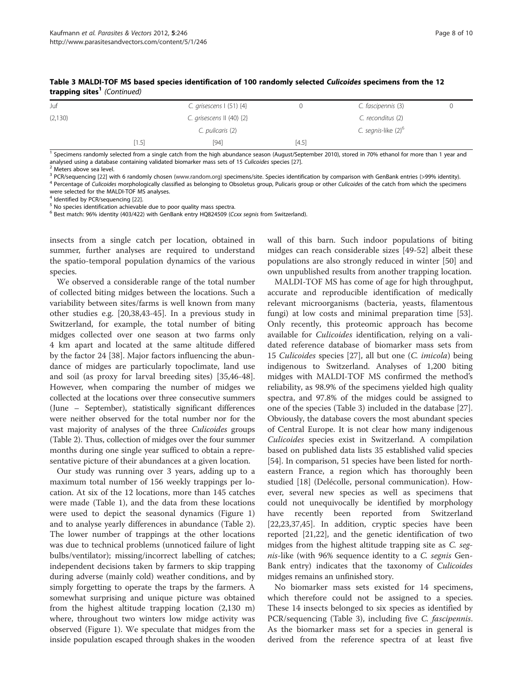| .       |       |                                    |         |                                 |  |
|---------|-------|------------------------------------|---------|---------------------------------|--|
| Juf     |       | C. grisescens $(51)$ $\{4\}$       |         | C. fascipennis (3)              |  |
| (2,130) |       | C. grisescens $  \cdot  $ (40) {2} |         | C. reconditus (2)               |  |
|         |       | C. pulicaris (2)                   |         | C. segnis-like (2) <sup>6</sup> |  |
|         | [1.5] | [94]                               | $[4.5]$ |                                 |  |

Table 3 MALDI-TOF MS based species identification of 100 randomly selected Culicoides specimens from the 12 trapping sites<sup>1</sup> (Continued)

<sup>1</sup> Specimens randomly selected from a single catch from the high abundance season (August/September 2010), stored in 70% ethanol for more than 1 year and analysed using a database containing validated biomarker mass sets of 15 Culicoides species [[27](#page-9-0)].<br><sup>2</sup> Meters above sea level.<br><sup>3</sup> PCR/sequencing [22] with 6 randomly chosen (www.random.org) specimens/site. Species identifi

<sup>4</sup> Percentage of Culicoides morphologically classified as belonging to Obsoletus group, Pulicaris group or other Culicoides of the catch from which the specimens were selected for the MALDI-TOF MS analyses.<br><sup>4</sup> Identified by PCR/sequencing [22].

<sup>5</sup> No species identification achievable due to poor quality mass spectra.

<sup>6</sup> Best match: 96% identity (403/422) with GenBank entry HQ824509 (Ccxx segnis from Switzerland).

insects from a single catch per location, obtained in summer, further analyses are required to understand the spatio-temporal population dynamics of the various species.

We observed a considerable range of the total number of collected biting midges between the locations. Such a variability between sites/farms is well known from many other studies e.g. [\[20,38,43-45](#page-9-0)]. In a previous study in Switzerland, for example, the total number of biting midges collected over one season at two farms only 4 km apart and located at the same altitude differed by the factor 24 [[38\]](#page-9-0). Major factors influencing the abundance of midges are particularly topoclimate, land use and soil (as proxy for larval breeding sites) [\[35,46-48](#page-9-0)]. However, when comparing the number of midges we collected at the locations over three consecutive summers (June – September), statistically significant differences were neither observed for the total number nor for the vast majority of analyses of the three Culicoides groups (Table [2\)](#page-5-0). Thus, collection of midges over the four summer months during one single year sufficed to obtain a representative picture of their abundances at a given location.

Our study was running over 3 years, adding up to a maximum total number of 156 weekly trappings per location. At six of the 12 locations, more than 145 catches were made (Table [1\)](#page-2-0), and the data from these locations were used to depict the seasonal dynamics (Figure [1](#page-4-0)) and to analyse yearly differences in abundance (Table [2](#page-5-0)). The lower number of trappings at the other locations was due to technical problems (unnoticed failure of light bulbs/ventilator); missing/incorrect labelling of catches; independent decisions taken by farmers to skip trapping during adverse (mainly cold) weather conditions, and by simply forgetting to operate the traps by the farmers. A somewhat surprising and unique picture was obtained from the highest altitude trapping location (2,130 m) where, throughout two winters low midge activity was observed (Figure [1](#page-4-0)). We speculate that midges from the inside population escaped through shakes in the wooden wall of this barn. Such indoor populations of biting midges can reach considerable sizes [[49](#page-9-0)-[52\]](#page-9-0) albeit these populations are also strongly reduced in winter [\[50\]](#page-9-0) and own unpublished results from another trapping location.

MALDI-TOF MS has come of age for high throughput, accurate and reproducible identification of medically relevant microorganisms (bacteria, yeasts, filamentous fungi) at low costs and minimal preparation time [\[53](#page-9-0)]. Only recently, this proteomic approach has become available for Culicoides identification, relying on a validated reference database of biomarker mass sets from 15 Culicoides species [\[27\]](#page-9-0), all but one (C. imicola) being indigenous to Switzerland. Analyses of 1,200 biting midges with MALDI-TOF MS confirmed the method's reliability, as 98.9% of the specimens yielded high quality spectra, and 97.8% of the midges could be assigned to one of the species (Table [3\)](#page-6-0) included in the database [\[27](#page-9-0)]. Obviously, the database covers the most abundant species of Central Europe. It is not clear how many indigenous Culicoides species exist in Switzerland. A compilation based on published data lists 35 established valid species [[54](#page-9-0)]. In comparison, 51 species have been listed for northeastern France, a region which has thoroughly been studied [\[18](#page-9-0)] (Delécolle, personal communication). However, several new species as well as specimens that could not unequivocally be identified by morphology have recently been reported from Switzerland [[22,23,37,45\]](#page-9-0). In addition, cryptic species have been reported [[21,22\]](#page-9-0), and the genetic identification of two midges from the highest altitude trapping site as C. segnis-like (with 96% sequence identity to a C. segnis Gen-Bank entry) indicates that the taxonomy of Culicoides midges remains an unfinished story.

No biomarker mass sets existed for 14 specimens, which therefore could not be assigned to a species. These 14 insects belonged to six species as identified by PCR/sequencing (Table [3](#page-6-0)), including five *C. fascipennis*. As the biomarker mass set for a species in general is derived from the reference spectra of at least five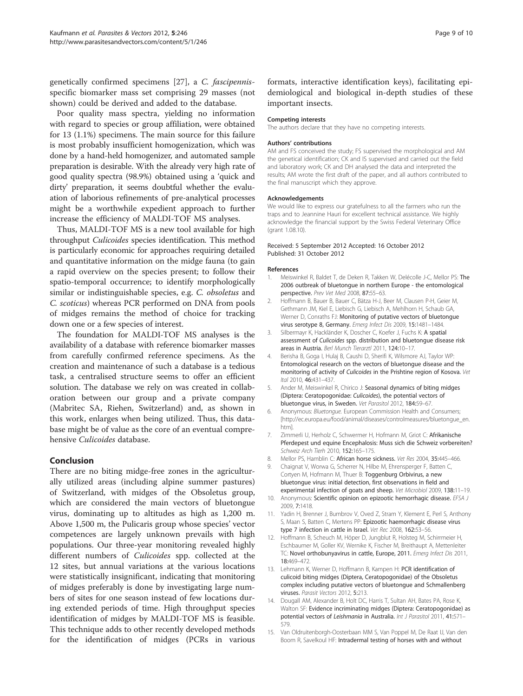<span id="page-8-0"></span>genetically confirmed specimens [[27\]](#page-9-0), a C. fascipennisspecific biomarker mass set comprising 29 masses (not shown) could be derived and added to the database.

Poor quality mass spectra, yielding no information with regard to species or group affiliation, were obtained for 13 (1.1%) specimens. The main source for this failure is most probably insufficient homogenization, which was done by a hand-held homogenizer, and automated sample preparation is desirable. With the already very high rate of good quality spectra (98.9%) obtained using a 'quick and dirty' preparation, it seems doubtful whether the evaluation of laborious refinements of pre-analytical processes might be a worthwhile expedient approach to further increase the efficiency of MALDI-TOF MS analyses.

Thus, MALDI-TOF MS is a new tool available for high throughput Culicoides species identification. This method is particularly economic for approaches requiring detailed and quantitative information on the midge fauna (to gain a rapid overview on the species present; to follow their spatio-temporal occurrence; to identify morphologically similar or indistinguishable species, e.g. C. obsoletus and C. scoticus) whereas PCR performed on DNA from pools of midges remains the method of choice for tracking down one or a few species of interest.

The foundation for MALDI-TOF MS analyses is the availability of a database with reference biomarker masses from carefully confirmed reference specimens. As the creation and maintenance of such a database is a tedious task, a centralised structure seems to offer an efficient solution. The database we rely on was created in collaboration between our group and a private company (Mabritec SA, Riehen, Switzerland) and, as shown in this work, enlarges when being utilized. Thus, this database might be of value as the core of an eventual comprehensive Culicoides database.

## Conclusion

There are no biting midge-free zones in the agriculturally utilized areas (including alpine summer pastures) of Switzerland, with midges of the Obsoletus group, which are considered the main vectors of bluetongue virus, dominating up to altitudes as high as 1,200 m. Above 1,500 m, the Pulicaris group whose species' vector competences are largely unknown prevails with high populations. Our three-year monitoring revealed highly different numbers of Culicoides spp. collected at the 12 sites, but annual variations at the various locations were statistically insignificant, indicating that monitoring of midges preferably is done by investigating large numbers of sites for one season instead of few locations during extended periods of time. High throughput species identification of midges by MALDI-TOF MS is feasible. This technique adds to other recently developed methods for the identification of midges (PCRs in various

formats, interactive identification keys), facilitating epidemiological and biological in-depth studies of these important insects.

#### Competing interests

The authors declare that they have no competing interests.

#### Authors' contributions

AM and FS conceived the study; FS supervised the morphological and AM the genetical identification; CK and IS supervised and carried out the field and laboratory work; CK and DH analysed the data and interpreted the results; AM wrote the first draft of the paper, and all authors contributed to the final manuscript which they approve.

#### Acknowledgements

We would like to express our gratefulness to all the farmers who run the traps and to Jeannine Hauri for excellent technical assistance. We highly acknowledge the financial support by the Swiss Federal Veterinary Office (grant 1.08.10).

#### Received: 5 September 2012 Accepted: 16 October 2012 Published: 31 October 2012

#### References

- Meiswinkel R, Baldet T, de Deken R, Takken W, Delécolle J-C, Mellor PS: The 2006 outbreak of bluetongue in northern Europe - the entomological perspective. Prev Vet Med 2008, 87:55–63.
- 2. Hoffmann B, Bauer B, Bauer C, Bätza H-J, Beer M, Clausen P-H, Geier M, Gethmann JM, Kiel E, Liebisch G, Liebisch A, Mehlhorn H, Schaub GA, Werner D, Conraths FJ: Monitoring of putative vectors of bluetongue virus serotype 8, Germany. Emerg Infect Dis 2009, 15:1481-1484.
- 3. Silbermayr K, Hackländer K, Doscher C, Koefer J, Fuchs K: A spatial assessment of Culicoides spp. distribution and bluetongue disease risk areas in Austria. Berl Munch Tierarztl 2011, 124:10–17.
- Berisha B, Goga I, Hulaj B, Caushi D, Sherifi K, Wilsmore AJ, Taylor WP: Entomological research on the vectors of bluetongue disease and the monitoring of activity of Culicoides in the Prishtine region of Kosova. Vet Ital 2010, 46:431–437.
- 5. Ander M, Meiswinkel R, Chirico J: Seasonal dynamics of biting midges (Diptera: Ceratopogonidae: Culicoides), the potential vectors of bluetongue virus, in Sweden. Vet Parasitol 2012, 184:59–67.
- 6. Anonymous: Bluetongue. European Commission Health and Consumers; [[http://ec.europa.eu/food/animal/diseases/controlmeasures/bluetongue\\_en.](http://ec.europa.eu/food/animal/diseases/controlmeasures/bluetongue_en.htm) [htm](http://ec.europa.eu/food/animal/diseases/controlmeasures/bluetongue_en.htm)].
- 7. Zimmerli U, Herholz C, Schwermer H, Hofmann M, Griot C: Afrikanische Pferdepest und equine Encephalosis: Muss sich die Schweiz vorbereiten? Schweiz Arch Tierh 2010, 152:165–175.
- 8. Mellor PS, Hamblin C: African horse sickness. Vet Res 2004, 35:445-466. 9. Chaignat V, Worwa G, Scherrer N, Hilbe M, Ehrensperger F, Batten C, Cortyen M, Hofmann M, Thuer B: Toggenburg Orbivirus, a new bluetongue virus: initial detection, first observations in field and experimental infection of goats and sheep. Vet Microbiol 2009, 138:11–19.
- 10. Anonymous: Scientific opinion on epizootic hemorrhagic disease. EFSA J 2009, 7:1418.
- 11. Yadin H, Brenner J, Bumbrov V, Oved Z, Stram Y, Klement E, Perl S, Anthony S, Maan S, Batten C, Mertens PP: Epizootic haemorrhagic disease virus type 7 infection in cattle in Israel. Vet Rec 2008, 162:53–56.
- 12. Hoffmann B, Scheuch M, Höper D, Jungblut R, Holsteg M, Schirrmeier H, Eschbaumer M, Goller KV, Wernike K, Fischer M, Breithaupt A, Mettenleiter TC: Novel orthobunyavirus in cattle, Europe, 2011. Emerg Infect Dis 2011, 18:469–472.
- 13. Lehmann K, Werner D, Hoffmann B, Kampen H: PCR identification of culicoid biting midges (Diptera, Ceratopogonidae) of the Obsoletus complex including putative vectors of bluetongue and Schmallenberg viruses. Parasit Vectors 2012, 5:213.
- 14. Dougall AM, Alexander B, Holt DC, Harris T, Sultan AH, Bates PA, Rose K, Walton SF: Evidence incriminating midges (Diptera: Ceratopogonidae) as potential vectors of Leishmania in Australia. Int J Parasitol 2011, 41:571-579.
- 15. Van Oldruitenborgh-Oosterbaan MM S, Van Poppel M, De Raat IJ, Van den Boom R, Savelkoul HF: Intradermal testing of horses with and without